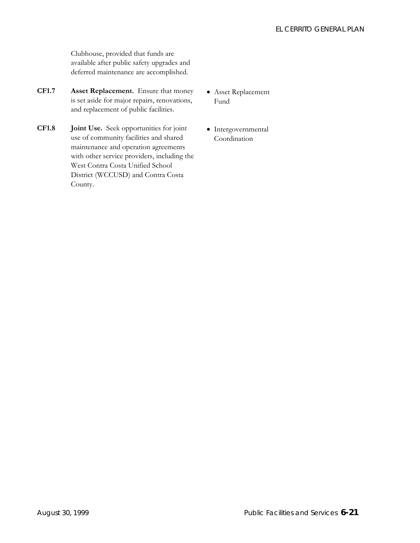Clubhouse, provided that funds are available after public safety upgrades and deferred maintenance are accomplished.

- **CF1.7 Asset Replacement.** Ensure that money is set aside for major repairs, renovations, and replacement of public facilities.
- **CF1.8 Joint Use.** Seek opportunities for joint use of community facilities and shared maintenance and operation agreements with other service providers, including the West Contra Costa Unified School District (WCCUSD) and Contra Costa County.
- Asset Replacement Fund
- Intergovernmental Coordination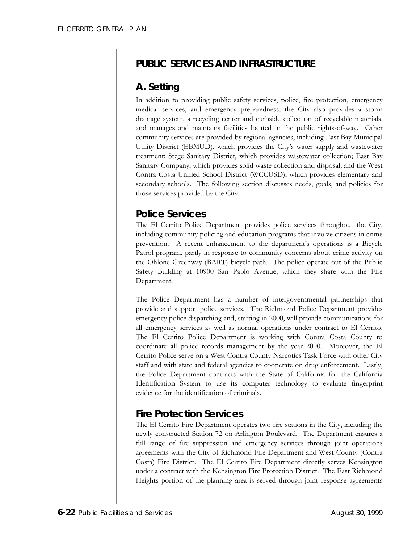# **PUBLIC SERVICES AND INFRASTRUCTURE**

# **A. Setting**

In addition to providing public safety services, police, fire protection, emergency medical services, and emergency preparedness, the City also provides a storm drainage system, a recycling center and curbside collection of recyclable materials, and manages and maintains facilities located in the public rights-of-way. Other community services are provided by regional agencies, including East Bay Municipal Utility District (EBMUD), which provides the City's water supply and wastewater treatment; Stege Sanitary District, which provides wastewater collection; East Bay Sanitary Company, which provides solid waste collection and disposal; and the West Contra Costa Unified School District (WCCUSD), which provides elementary and secondary schools. The following section discusses needs, goals, and policies for those services provided by the City.

# *Police Services*

The El Cerrito Police Department provides police services throughout the City, including community policing and education programs that involve citizens in crime prevention. A recent enhancement to the department's operations is a Bicycle Patrol program, partly in response to community concerns about crime activity on the Ohlone Greenway (BART) bicycle path. The police operate out of the Public Safety Building at 10900 San Pablo Avenue, which they share with the Fire Department.

The Police Department has a number of intergovernmental partnerships that provide and support police services. The Richmond Police Department provides emergency police dispatching and, starting in 2000, will provide communications for all emergency services as well as normal operations under contract to El Cerrito. The El Cerrito Police Department is working with Contra Costa County to coordinate all police records management by the year 2000. Moreover, the El Cerrito Police serve on a West Contra County Narcotics Task Force with other City staff and with state and federal agencies to cooperate on drug enforcement. Lastly, the Police Department contracts with the State of California for the California Identification System to use its computer technology to evaluate fingerprint evidence for the identification of criminals.

# *Fire Protection Services*

The El Cerrito Fire Department operates two fire stations in the City, including the newly constructed Station 72 on Arlington Boulevard. The Department ensures a full range of fire suppression and emergency services through joint operations agreements with the City of Richmond Fire Department and West County (Contra Costa) Fire District. The El Cerrito Fire Department directly serves Kensington under a contract with the Kensington Fire Protection District. The East Richmond Heights portion of the planning area is served through joint response agreements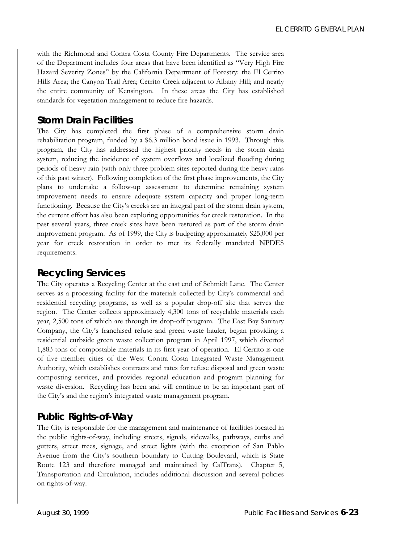with the Richmond and Contra Costa County Fire Departments. The service area of the Department includes four areas that have been identified as "Very High Fire Hazard Severity Zones" by the California Department of Forestry: the El Cerrito Hills Area; the Canyon Trail Area; Cerrito Creek adjacent to Albany Hill; and nearly the entire community of Kensington. In these areas the City has established standards for vegetation management to reduce fire hazards.

## *Storm Drain Facilities*

The City has completed the first phase of a comprehensive storm drain rehabilitation program, funded by a \$6.3 million bond issue in 1993. Through this program, the City has addressed the highest priority needs in the storm drain system, reducing the incidence of system overflows and localized flooding during periods of heavy rain (with only three problem sites reported during the heavy rains of this past winter). Following completion of the first phase improvements, the City plans to undertake a follow-up assessment to determine remaining system improvement needs to ensure adequate system capacity and proper long-term functioning. Because the City's creeks are an integral part of the storm drain system, the current effort has also been exploring opportunities for creek restoration. In the past several years, three creek sites have been restored as part of the storm drain improvement program. As of 1999, the City is budgeting approximately \$25,000 per year for creek restoration in order to met its federally mandated NPDES requirements.

## *Recycling Services*

The City operates a Recycling Center at the east end of Schmidt Lane. The Center serves as a processing facility for the materials collected by City's commercial and residential recycling programs, as well as a popular drop-off site that serves the region. The Center collects approximately 4,300 tons of recyclable materials each year, 2,500 tons of which are through its drop-off program. The East Bay Sanitary Company, the City's franchised refuse and green waste hauler, began providing a residential curbside green waste collection program in April 1997, which diverted 1,883 tons of compostable materials in its first year of operation. El Cerrito is one of five member cities of the West Contra Costa Integrated Waste Management Authority, which establishes contracts and rates for refuse disposal and green waste composting services, and provides regional education and program planning for waste diversion. Recycling has been and will continue to be an important part of the City's and the region's integrated waste management program.

## *Public Rights-of-Way*

The City is responsible for the management and maintenance of facilities located in the public rights-of-way, including streets, signals, sidewalks, pathways, curbs and gutters, street trees, signage, and street lights (with the exception of San Pablo Avenue from the City's southern boundary to Cutting Boulevard, which is State Route 123 and therefore managed and maintained by CalTrans). Chapter 5, Transportation and Circulation, includes additional discussion and several policies on rights-of-way.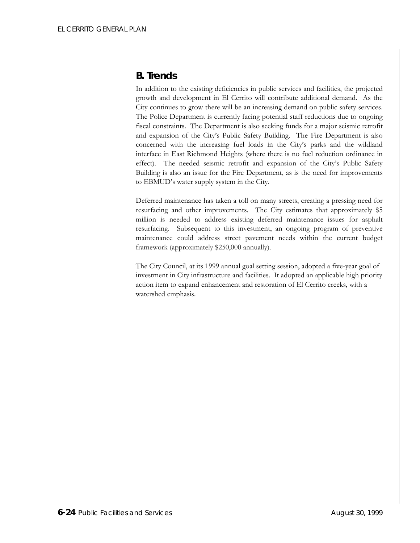# **B. Trends**

In addition to the existing deficiencies in public services and facilities, the projected growth and development in El Cerrito will contribute additional demand. As the City continues to grow there will be an increasing demand on public safety services. The Police Department is currently facing potential staff reductions due to ongoing fiscal constraints. The Department is also seeking funds for a major seismic retrofit and expansion of the City's Public Safety Building. The Fire Department is also concerned with the increasing fuel loads in the City's parks and the wildland interface in East Richmond Heights (where there is no fuel reduction ordinance in effect). The needed seismic retrofit and expansion of the City's Public Safety Building is also an issue for the Fire Department, as is the need for improvements to EBMUD's water supply system in the City.

Deferred maintenance has taken a toll on many streets, creating a pressing need for resurfacing and other improvements.The City estimates that approximately \$5 million is needed to address existing deferred maintenance issues for asphalt resurfacing. Subsequent to this investment, an ongoing program of preventive maintenance could address street pavement needs within the current budget framework (approximately \$250,000 annually).

The City Council, at its 1999 annual goal setting session, adopted a five-year goal of investment in City infrastructure and facilities. It adopted an applicable high priority action item to expand enhancement and restoration of El Cerrito creeks, with a watershed emphasis.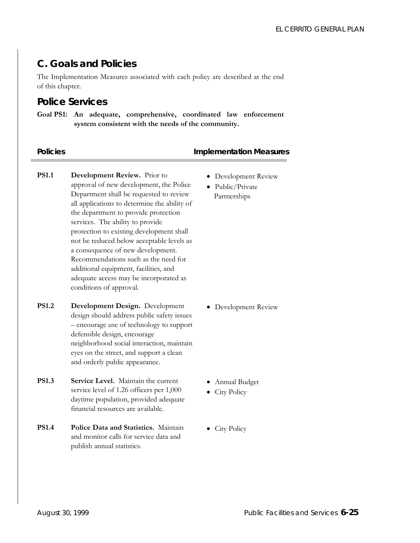# **C. Goals and Policies**

The Implementation Measures associated with each policy are described at the end of this chapter.

## *Police Services*

**Goal PS1: An adequate, comprehensive, coordinated law enforcement system consistent with the needs of the community.**

## **Policies Policies Policies Implementation Measures**

- **PS1.1** Development Review. Prior to approval of new development, the Police Department shall be requested to review all applications to determine the ability of the department to provide protection services. The ability to provide protection to existing development shall not be reduced below acceptable levels as a consequence of new development. Recommendations such as the need for additional equipment, facilities, and adequate access may be incorporated as conditions of approval.
- **PS1.2** Development Design. Development design should address public safety issues – encourage use of technology to support defensible design, encourage neighborhood social interaction, maintain eyes on the street, and support a clean and orderly public appearance.
- **PS1.3 Service Level.** Maintain the current service level of 1.26 officers per 1,000 daytime population, provided adequate financial resources are available.
- **PS1.4 Police Data and Statistics.** Maintain and monitor calls for service data and publish annual statistics.
- Development Review
- Public/Private Partnerships

• Development Review

- Annual Budget
- City Policy
- City Policy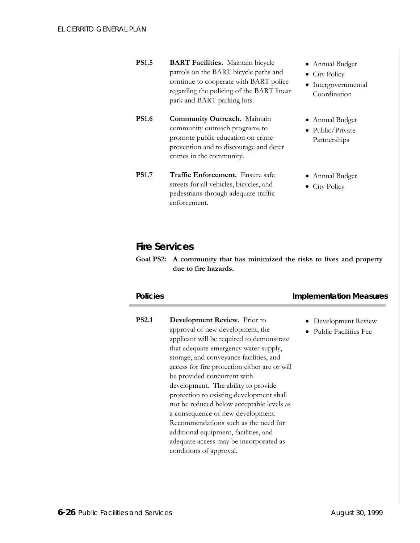- **PS1.5 BART Facilities.** Maintain bicycle patrols on the BART bicycle paths and continue to cooperate with BART police regarding the policing of the BART linear park and BART parking lots. • City Policy
- **PS1.6 Community Outreach.** Maintain community outreach programs to promote public education on crime prevention and to discourage and deter crimes in the community.
- **PS1.7** Traffic Enforcement. Ensure safe streets for all vehicles, bicycles, and pedestrians through adequate traffic enforcement.
- Annual Budget
- Intergovernmental Coordination
- Annual Budget
- Public/Private Partnerships
- Annual Budget
- City Policy

## *Fire Services*

**Goal PS2: A community that has minimized the risks to lives and property due to fire hazards.** 

**PS2.1** Development Review. Prior to approval of new development, the applicant will be required to demonstrate that adequate emergency water supply, storage, and conveyance facilities, and access for fire protection either are or will be provided concurrent with development. The ability to provide protection to existing development shall not be reduced below acceptable levels as a consequence of new development. Recommendations such as the need for additional equipment, facilities, and adequate access may be incorporated as conditions of approval.

## **Policies Implementation Measures**

- Development Review
- Public Facilities Fee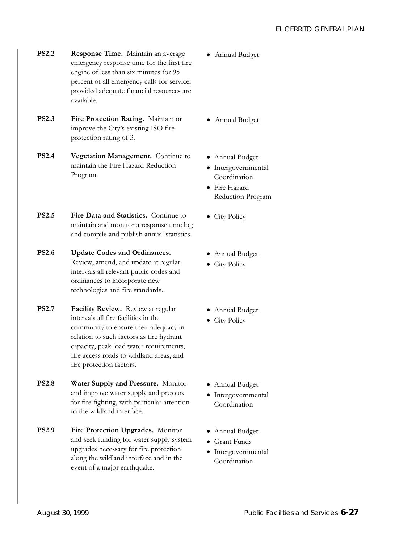- **PS2.2 Response Time.** Maintain an average emergency response time for the first fire engine of less than six minutes for 95 percent of all emergency calls for service, provided adequate financial resources are available.
- **PS2.3 Fire Protection Rating.** Maintain or improve the City's existing ISO fire protection rating of 3.

**PS2.4 Vegetation Management.** Continue to maintain the Fire Hazard Reduction Program.

- **PS2.5 Fire Data and Statistics.** Continue to maintain and monitor a response time log and compile and publish annual statistics.
- **PS2.6 Update Codes and Ordinances.**  Review, amend, and update at regular intervals all relevant public codes and ordinances to incorporate new technologies and fire standards.
- **PS2.7** Facility Review. Review at regular intervals all fire facilities in the community to ensure their adequacy in relation to such factors as fire hydrant capacity, peak load water requirements, fire access roads to wildland areas, and fire protection factors.
- **PS2.8 Water Supply and Pressure.** Monitor and improve water supply and pressure for fire fighting, with particular attention to the wildland interface.
- **PS2.9 Fire Protection Upgrades.** Monitor and seek funding for water supply system upgrades necessary for fire protection along the wildland interface and in the event of a major earthquake.

• Annual Budget

- Annual Budget
- Annual Budget
- Intergovernmental Coordination
- Fire Hazard Reduction Program
- City Policy
- Annual Budget
- City Policy
- Annual Budget
- City Policy

- Annual Budget
- Intergovernmental Coordination
- Annual Budget
- Grant Funds
- Intergovernmental Coordination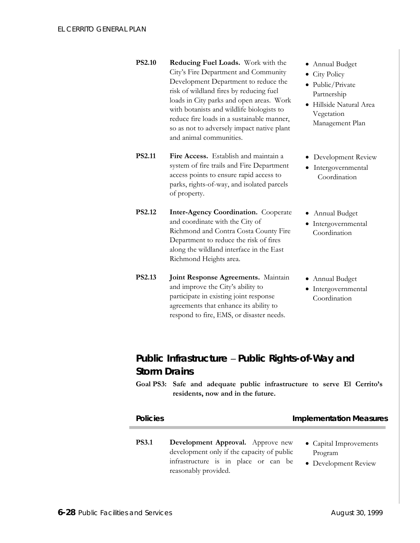- **PS2.10 Reducing Fuel Loads.** Work with the City's Fire Department and Community Development Department to reduce the risk of wildland fires by reducing fuel loads in City parks and open areas. Work with botanists and wildlife biologists to reduce fire loads in a sustainable manner, so as not to adversely impact native plant and animal communities.
- **PS2.11 Fire Access.** Establish and maintain a system of fire trails and Fire Department access points to ensure rapid access to parks, rights-of-way, and isolated parcels of property.
- **PS2.12 Inter-Agency Coordination.** Cooperate and coordinate with the City of Richmond and Contra Costa County Fire Department to reduce the risk of fires along the wildland interface in the East Richmond Heights area.
- **PS2.13 Joint Response Agreements.** Maintain and improve the City's ability to participate in existing joint response agreements that enhance its ability to respond to fire, EMS, or disaster needs.
- Annual Budget
- City Policy
- Public/Private Partnership
- Hillside Natural Area Vegetation Management Plan
- Development Review
- Intergovernmental Coordination
- Annual Budget
- Intergovernmental Coordination
- Annual Budget
- Intergovernmental Coordination

# *Public Infrastructure* − *Public Rights-of-Way and Storm Drains*

**Goal PS3: Safe and adequate public infrastructure to serve El Cerrito's residents, now and in the future.** 

| <b>Policies</b> |                                                                                                                                                 | <b>Implementation Measures</b>                            |
|-----------------|-------------------------------------------------------------------------------------------------------------------------------------------------|-----------------------------------------------------------|
| <b>PS3.1</b>    | Development Approval. Approve new<br>development only if the capacity of public<br>infrastructure is in place or can be<br>reasonably provided. | • Capital Improvements<br>Program<br>• Development Review |

### **6-28** Public Facilities and Services August 30, 1999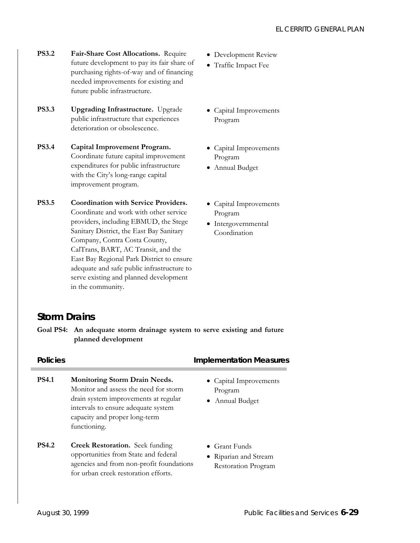- **PS3.2 Fair-Share Cost Allocations.** Require future development to pay its fair share of purchasing rights-of-way and of financing needed improvements for existing and future public infrastructure.
- **PS3.3 Upgrading Infrastructure.** Upgrade public infrastructure that experiences deterioration or obsolescence.
- **PS3.4 Capital Improvement Program.**  Coordinate future capital improvement expenditures for public infrastructure with the City's long-range capital improvement program.
- **PS3.5 Coordination with Service Providers.**  Coordinate and work with other service providers, including EBMUD, the Stege Sanitary District, the East Bay Sanitary Company, Contra Costa County, CalTrans, BART, AC Transit, and the East Bay Regional Park District to ensure adequate and safe public infrastructure to serve existing and planned development in the community.
- Development Review
- Traffic Impact Fee
- Capital Improvements Program
- Capital Improvements Program
- Annual Budget
- Capital Improvements Program
- Intergovernmental Coordination

# *Storm Drains*

**Goal PS4: An adequate storm drainage system to serve existing and future planned development** 

| <b>Policies</b> |                                                                                                                                                                                                               | <b>Implementation Measures</b>                                        |
|-----------------|---------------------------------------------------------------------------------------------------------------------------------------------------------------------------------------------------------------|-----------------------------------------------------------------------|
| <b>PS4.1</b>    | <b>Monitoring Storm Drain Needs.</b><br>Monitor and assess the need for storm<br>drain system improvements at regular<br>intervals to ensure adequate system<br>capacity and proper long-term<br>functioning. | • Capital Improvements<br>Program<br>• Annual Budget                  |
| <b>PS4.2</b>    | <b>Creek Restoration.</b> Seek funding<br>opportunities from State and federal<br>agencies and from non-profit foundations<br>for urban creek restoration efforts.                                            | $\bullet$ Grant Funds<br>• Riparian and Stream<br>Restoration Program |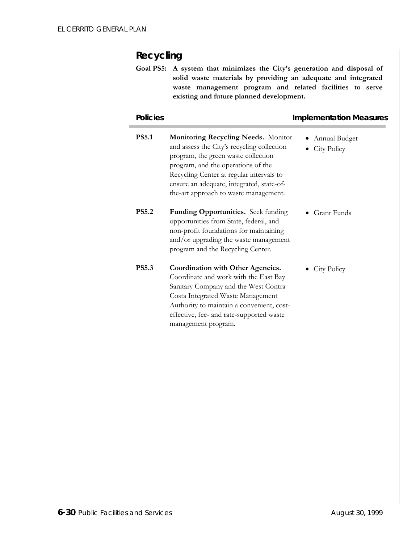# *Recycling*

**Goal PS5: A system that minimizes the City's generation and disposal of solid waste materials by providing an adequate and integrated waste management program and related facilities to serve existing and future planned development.** 

| <b>Policies</b> |                                                                                                                                                                                                                                                                                                         | <b>Implementation Measures</b> |  |
|-----------------|---------------------------------------------------------------------------------------------------------------------------------------------------------------------------------------------------------------------------------------------------------------------------------------------------------|--------------------------------|--|
| <b>PS5.1</b>    | <b>Monitoring Recycling Needs.</b> Monitor<br>and assess the City's recycling collection<br>program, the green waste collection<br>program, and the operations of the<br>Recycling Center at regular intervals to<br>ensure an adequate, integrated, state-of-<br>the-art approach to waste management. | Annual Budget<br>City Policy   |  |
| <b>PS5.2</b>    | Funding Opportunities. Seek funding<br>opportunities from State, federal, and<br>non-profit foundations for maintaining<br>and/or upgrading the waste management<br>program and the Recycling Center.                                                                                                   | $\bullet$ Grant Funds          |  |
| <b>PS5.3</b>    | Coordination with Other Agencies.<br>Coordinate and work with the East Bay<br>Sanitary Company and the West Contra<br>Costa Integrated Waste Management<br>Authority to maintain a convenient, cost-<br>effective, fee- and rate-supported waste<br>management program.                                 | $\bullet$ City Policy          |  |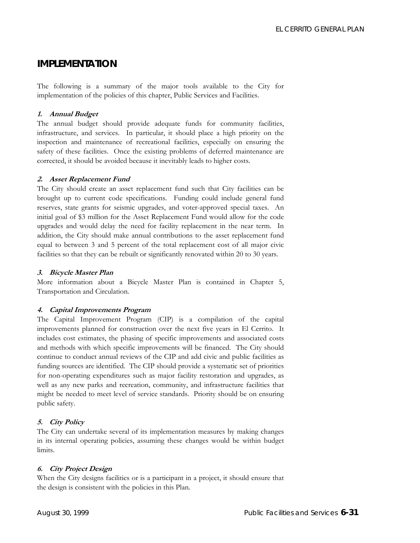# **IMPLEMENTATION**

The following is a summary of the major tools available to the City for implementation of the policies of this chapter, Public Services and Facilities.

## **1. Annual Budget**

The annual budget should provide adequate funds for community facilities, infrastructure, and services. In particular, it should place a high priority on the inspection and maintenance of recreational facilities, especially on ensuring the safety of these facilities. Once the existing problems of deferred maintenance are corrected, it should be avoided because it inevitably leads to higher costs.

## **2. Asset Replacement Fund**

The City should create an asset replacement fund such that City facilities can be brought up to current code specifications. Funding could include general fund reserves, state grants for seismic upgrades, and voter-approved special taxes. An initial goal of \$3 million for the Asset Replacement Fund would allow for the code upgrades and would delay the need for facility replacement in the near term. In addition, the City should make annual contributions to the asset replacement fund equal to between 3 and 5 percent of the total replacement cost of all major civic facilities so that they can be rebuilt or significantly renovated within 20 to 30 years.

### **3. Bicycle Master Plan**

More information about a Bicycle Master Plan is contained in Chapter 5, Transportation and Circulation.

### **4. Capital Improvements Program**

The Capital Improvement Program (CIP) is a compilation of the capital improvements planned for construction over the next five years in El Cerrito. It includes cost estimates, the phasing of specific improvements and associated costs and methods with which specific improvements will be financed. The City should continue to conduct annual reviews of the CIP and add civic and public facilities as funding sources are identified. The CIP should provide a systematic set of priorities for non-operating expenditures such as major facility restoration and upgrades, as well as any new parks and recreation, community, and infrastructure facilities that might be needed to meet level of service standards. Priority should be on ensuring public safety.

## **5. City Policy**

The City can undertake several of its implementation measures by making changes in its internal operating policies, assuming these changes would be within budget limits.

## **6. City Project Design**

When the City designs facilities or is a participant in a project, it should ensure that the design is consistent with the policies in this Plan.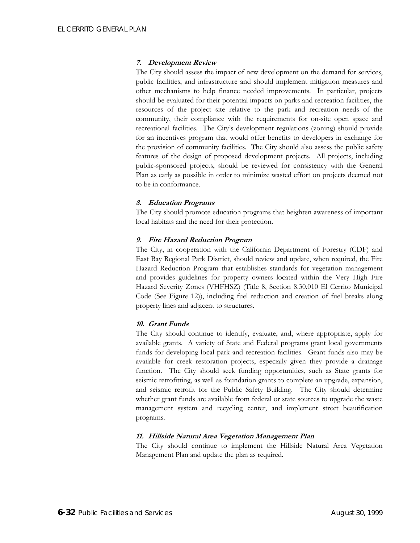#### **7. Development Review**

The City should assess the impact of new development on the demand for services, public facilities, and infrastructure and should implement mitigation measures and other mechanisms to help finance needed improvements. In particular, projects should be evaluated for their potential impacts on parks and recreation facilities, the resources of the project site relative to the park and recreation needs of the community, their compliance with the requirements for on-site open space and recreational facilities. The City's development regulations (zoning) should provide for an incentives program that would offer benefits to developers in exchange for the provision of community facilities. The City should also assess the public safety features of the design of proposed development projects. All projects, including public-sponsored projects, should be reviewed for consistency with the General Plan as early as possible in order to minimize wasted effort on projects deemed not to be in conformance.

### **8. Education Programs**

The City should promote education programs that heighten awareness of important local habitats and the need for their protection.

### **9. Fire Hazard Reduction Program**

The City, in cooperation with the California Department of Forestry (CDF) and East Bay Regional Park District, should review and update, when required, the Fire Hazard Reduction Program that establishes standards for vegetation management and provides guidelines for property owners located within the Very High Fire Hazard Severity Zones (VHFHSZ) (Title 8, Section 8.30.010 El Cerrito Municipal Code (See Figure 12)), including fuel reduction and creation of fuel breaks along property lines and adjacent to structures.

## **10. Grant Funds**

The City should continue to identify, evaluate, and, where appropriate, apply for available grants. A variety of State and Federal programs grant local governments funds for developing local park and recreation facilities. Grant funds also may be available for creek restoration projects, especially given they provide a drainage function. The City should seek funding opportunities, such as State grants for seismic retrofitting, as well as foundation grants to complete an upgrade, expansion, and seismic retrofit for the Public Safety Building. The City should determine whether grant funds are available from federal or state sources to upgrade the waste management system and recycling center, and implement street beautification programs.

### **11. Hillside Natural Area Vegetation Management Plan**

The City should continue to implement the Hillside Natural Area Vegetation Management Plan and update the plan as required.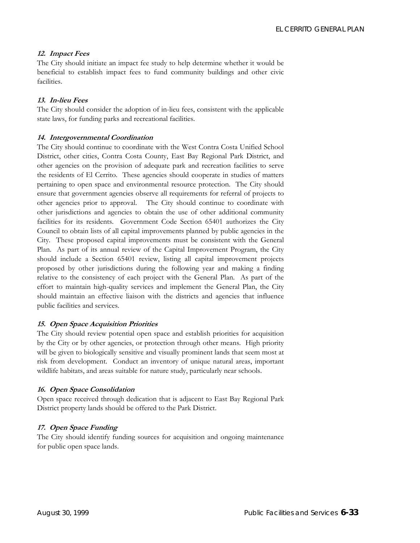### **12. Impact Fees**

The City should initiate an impact fee study to help determine whether it would be beneficial to establish impact fees to fund community buildings and other civic facilities.

## **13. In-lieu Fees**

The City should consider the adoption of in-lieu fees, consistent with the applicable state laws, for funding parks and recreational facilities.

### 14. Intergovernmental Coordination

The City should continue to coordinate with the West Contra Costa Unified School District, other cities, Contra Costa County, East Bay Regional Park District, and other agencies on the provision of adequate park and recreation facilities to serve the residents of El Cerrito. These agencies should cooperate in studies of matters pertaining to open space and environmental resource protection. The City should ensure that government agencies observe all requirements for referral of projects to other agencies prior to approval. The City should continue to coordinate with other jurisdictions and agencies to obtain the use of other additional community facilities for its residents. Government Code Section 65401 authorizes the City Council to obtain lists of all capital improvements planned by public agencies in the City. These proposed capital improvements must be consistent with the General Plan. As part of its annual review of the Capital Improvement Program, the City should include a Section 65401 review, listing all capital improvement projects proposed by other jurisdictions during the following year and making a finding relative to the consistency of each project with the General Plan. As part of the effort to maintain high-quality services and implement the General Plan, the City should maintain an effective liaison with the districts and agencies that influence public facilities and services.

## **15. Open Space Acquisition Priorities**

The City should review potential open space and establish priorities for acquisition by the City or by other agencies, or protection through other means. High priority will be given to biologically sensitive and visually prominent lands that seem most at risk from development. Conduct an inventory of unique natural areas, important wildlife habitats, and areas suitable for nature study, particularly near schools.

### **16. Open Space Consolidation**

Open space received through dedication that is adjacent to East Bay Regional Park District property lands should be offered to the Park District.

### **17. Open Space Funding**

The City should identify funding sources for acquisition and ongoing maintenance for public open space lands.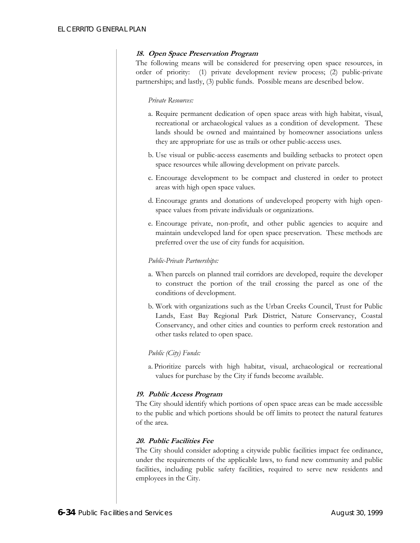#### **18. Open Space Preservation Program**

The following means will be considered for preserving open space resources, in order of priority: (1) private development review process; (2) public-private partnerships; and lastly, (3) public funds. Possible means are described below.

#### *Private Resources:*

- a. Require permanent dedication of open space areas with high habitat, visual, recreational or archaeological values as a condition of development. These lands should be owned and maintained by homeowner associations unless they are appropriate for use as trails or other public-access uses.
- b. Use visual or public-access easements and building setbacks to protect open space resources while allowing development on private parcels.
- c. Encourage development to be compact and clustered in order to protect areas with high open space values.
- d. Encourage grants and donations of undeveloped property with high openspace values from private individuals or organizations.
- e. Encourage private, non-profit, and other public agencies to acquire and maintain undeveloped land for open space preservation. These methods are preferred over the use of city funds for acquisition.

#### *Public-Private Partnerships:*

- a. When parcels on planned trail corridors are developed, require the developer to construct the portion of the trail crossing the parcel as one of the conditions of development.
- b. Work with organizations such as the Urban Creeks Council, Trust for Public Lands, East Bay Regional Park District, Nature Conservancy, Coastal Conservancy, and other cities and counties to perform creek restoration and other tasks related to open space.

#### *Public (City) Funds:*

a. Prioritize parcels with high habitat, visual, archaeological or recreational values for purchase by the City if funds become available.

#### **19. Public Access Program**

The City should identify which portions of open space areas can be made accessible to the public and which portions should be off limits to protect the natural features of the area.

#### **20. Public Facilities Fee**

The City should consider adopting a citywide public facilities impact fee ordinance, under the requirements of the applicable laws, to fund new community and public facilities, including public safety facilities, required to serve new residents and employees in the City.